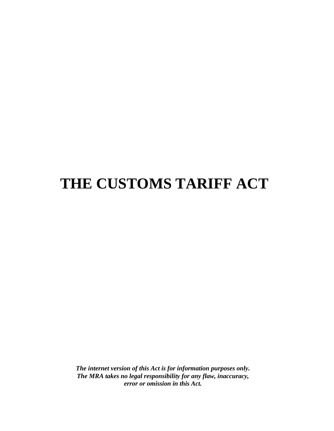# **THE CUSTOMS TARIFF ACT**

*The internet version of this Act is for information purposes only. The MRA takes no legal responsibility for any flaw, inaccuracy, error or omission in this Act.*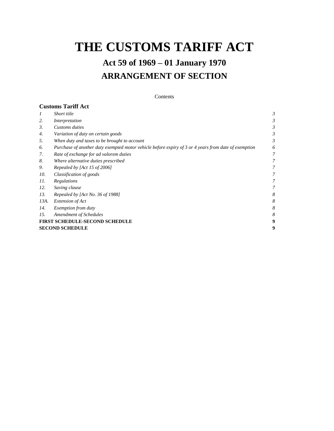# **THE CUSTOMS TARIFF ACT**

# **Act 59 of 1969 – 01 January 1970 ARRANGEMENT OF SECTION**

#### Contents

|                                       | <b>Customs Tariff Act</b>                                                                            |   |  |  |
|---------------------------------------|------------------------------------------------------------------------------------------------------|---|--|--|
| $\overline{I}$                        | Short title                                                                                          | 3 |  |  |
| 2.                                    | Interpretation                                                                                       | 3 |  |  |
| 3.                                    | Customs duties                                                                                       | 3 |  |  |
| 4.                                    | Variation of duty on certain goods                                                                   | 3 |  |  |
| 5.                                    | When duty and taxes to be brought to account                                                         | 3 |  |  |
| 6.                                    | Purchase of another duty exempted motor vehicle before expiry of 3 or 4 years from date of exemption | 6 |  |  |
| 7.                                    | Rate of exchange for ad valorem duties                                                               | 7 |  |  |
| 8.                                    | Where alternative duties prescribed                                                                  | 7 |  |  |
| 9.                                    | Repealed by [Act 15 of 2006]                                                                         | 7 |  |  |
| 10.                                   | Classification of goods                                                                              | 7 |  |  |
| 11.                                   | Regulations                                                                                          | 7 |  |  |
| 12.                                   | Saving clause                                                                                        | 7 |  |  |
| 13.                                   | Repealed by [Act No. 36 of 1988]                                                                     | 8 |  |  |
| 13A.                                  | Extension of Act                                                                                     | 8 |  |  |
| 14.                                   | <i>Exemption from duty</i>                                                                           | 8 |  |  |
| 15.                                   | <b>Amendment of Schedules</b>                                                                        | 8 |  |  |
| <b>FIRST SCHEDULE-SECOND SCHEDULE</b> |                                                                                                      |   |  |  |
| <b>SECOND SCHEDULE</b>                |                                                                                                      |   |  |  |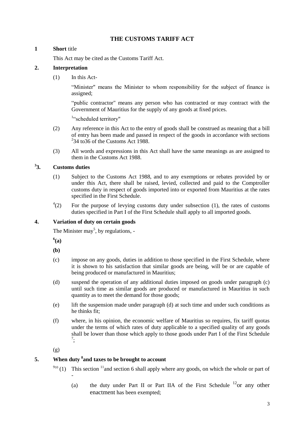## **THE CUSTOMS TARIFF ACT**

### <span id="page-2-1"></span><span id="page-2-0"></span>**1 Short** title

This Act may be cited as the Customs Tariff Act.

## **2. Interpretation**

(1) In this Act-

"Minister" means the Minister to whom responsibility for the subject of finance is assigned;

"public contractor" means any person who has contracted or may contract with the Government of Mauritius for the supply of any goods at fixed prices.

1 "scheduled territory"

- (2) Any reference in this Act to the entry of goods shall be construed as meaning that a bill of entry has been made and passed in respect of the goods in accordance with sections  $234$  to 36 of the Customs Act 1988.
- <span id="page-2-2"></span>(3) All words and expressions in this Act shall have the same meanings as are assigned to them in the Customs Act 1988.

#### **3 3. Customs duties**

- (1) Subject to the Customs Act 1988, and to any exemptions or rebates provided by or under this Act, there shall be raised, levied, collected and paid to the Comptroller customs duty in respect of goods imported into or exported from Mauritius at the rates specified in the First Schedule.
- <span id="page-2-3"></span> $^{4}(2)$ For the purpose of levying customs duty under subsection  $(1)$ , the rates of customs duties specified in Part I of the First Schedule shall apply to all imported goods.

## **4. Variation of duty on certain goods**

The Minister may<sup>5</sup>, by regulations,  $-\frac{1}{2}$ 

**6 (a)**

- **(b)**
- (c) impose on any goods, duties in addition to those specified in the First Schedule, where it is shown to his satisfaction that similar goods are being, will be or are capable of being produced or manufactured in Mauritius;
- (d) suspend the operation of any additional duties imposed on goods under paragraph (c) until such time as similar goods are produced or manufactured in Mauritius in such quantity as to meet the demand for those goods;
- (e) lift the suspension made under paragraph (d) at such time and under such conditions as he thinks fit;
- <span id="page-2-4"></span>(f) where, in his opinion, the economic welfare of Mauritius so requires, fix tariff quotas under the terms of which rates of duty applicable to a specified quality of any goods shall be lower than those which apply to those goods under Part I of the First Schedule 7 ;

(g)

-

## **5. When duty <sup>8</sup> and taxes to be brought to account**

- $910$  (1) This section <sup>11</sup> and section 6 shall apply where any goods, on which the whole or part of
	- (a) the duty under Part II or Part IIA of the First Schedule  $^{12}$  or any other enactment has been exempted;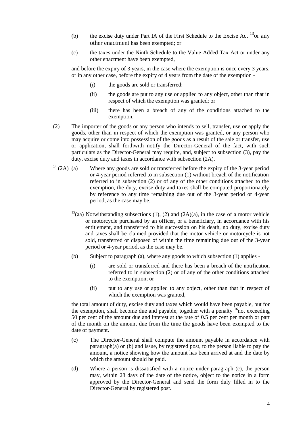- (b) the excise duty under Part IA of the First Schedule to the Excise Act  $^{13}$ or any other enactment has been exempted; or
- (c) the taxes under the Ninth Schedule to the Value Added Tax Act or under any other enactment have been exempted,

and before the expiry of 3 years, in the case where the exemption is once every 3 years, or in any other case, before the expiry of 4 years from the date of the exemption -

- (i) the goods are sold or transferred;
- (ii) the goods are put to any use or applied to any object, other than that in respect of which the exemption was granted; or
- (iii) there has been a breach of any of the conditions attached to the exemption.
- (2) The importer of the goods or any person who intends to sell, transfer, use or apply the goods, other than in respect of which the exemption was granted, or any person who may acquire or come into possession of the goods as a result of the sale or transfer, use or application, shall forthwith notify the Director-General of the fact, with such particulars as the Director-General may require, and, subject to subsection (3), pay the duty, excise duty and taxes in accordance with subsection (2A).
- $14$  (2A) (a) Where any goods are sold or transferred before the expiry of the 3-year period or 4-year period referred to in subsection (1) without breach of the notification referred to in subsection (2) or of any of the other conditions attached to the exemption, the duty, excise duty and taxes shall be computed proportionately by reference to any time remaining due out of the 3-year period or 4-year period, as the case may be.
	- $15$ (aa) Notwithstanding subsections (1), (2) and (2A)(a), in the case of a motor vehicle or motorcycle purchased by an officer, or a beneficiary, in accordance with his entitlement, and transferred to his succession on his death, no duty, excise duty and taxes shall be claimed provided that the motor vehicle or motorcycle is not sold, transferred or disposed of within the time remaining due out of the 3-year period or 4-year period, as the case may be.
	- (b) Subject to paragraph (a), where any goods to which subsection (1) applies
		- (i) are sold or transferred and there has been a breach of the notification referred to in subsection (2) or of any of the other conditions attached to the exemption; or
		- (ii) put to any use or applied to any object, other than that in respect of which the exemption was granted,

the total amount of duty, excise duty and taxes which would have been payable, but for the exemption, shall become due and payable, together with a penalty  $\frac{16}{16}$  not exceeding 50 per cent of the amount due and interest at the rate of 0.5 per cent per month or part of the month on the amount due from the time the goods have been exempted to the date of payment.

- (c) The Director-General shall compute the amount payable in accordance with paragraph(a) or (b) and issue, by registered post, to the person liable to pay the amount, a notice showing how the amount has been arrived at and the date by which the amount should be paid.
- (d) Where a person is dissatisfied with a notice under paragraph (c), the person may, within 28 days of the date of the notice, object to the notice in a form approved by the Director-General and send the form duly filled in to the Director-General by registered post.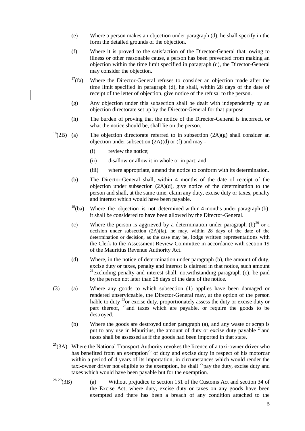- (e) Where a person makes an objection under paragraph (d), he shall specify in the form the detailed grounds of the objection.
- (f) Where it is proved to the satisfaction of the Director-General that, owing to illness or other reasonable cause, a person has been prevented from making an objection within the time limit specified in paragraph (d), the Director-General may consider the objection.
- $17(fa)$  Where the Director-General refuses to consider an objection made after the time limit specified in paragraph (d), he shall, within 28 days of the date of receipt of the letter of objection, give notice of the refusal to the person.
- (g) Any objection under this subsection shall be dealt with independently by an objection directorate set up by the Director-General for that purpose.
- (h) The burden of proving that the notice of the Director-General is incorrect, or what the notice should be, shall lie on the person.
- $18(2B)$  (a) The objection directorate referred to in subsection  $(2A)(g)$  shall consider an objection under subsection  $(2A)(d)$  or (f) and may -
	- (i) review the notice;
	- (ii) disallow or allow it in whole or in part; and
	- (iii) where appropriate, amend the notice to conform with its determination.
	- (b) The Director-General shall, within 4 months of the date of receipt of the objection under subsection (2A)(d), give notice of the determination to the person and shall, at the same time, claim any duty, excise duty or taxes, penalty and interest which would have been payable.
	- $19$ (ba) Where the objection is not determined within 4 months under paragraph (b), it shall be considered to have been allowed by the Director-General.
	- (c) Where the person is aggrieved by a determination under paragraph  $(b)^{20}$  or a decision under subsection (2A)(fa), he may, within 28 days of the date of the determination or decision, as the case may be, lodge written representations with the Clerk to the Assessment Review Committee in accordance with section 19 of the Mauritius Revenue Authority Act.
	- (d) Where, in the notice of determination under paragraph (b), the amount of duty, excise duty or taxes, penalty and interest is claimed in that notice, such amount  $21$  excluding penalty and interest shall, notwithstanding paragraph (c), be paid by the person not later than 28 days of the date of the notice.
- (3) (a) Where any goods to which subsection (1) applies have been damaged or rendered unserviceable, the Director-General may, at the option of the person liable to duty  $^{22}$ or excise duty, proportionately assess the duty or excise duty or part thereof, <sup>23</sup> and taxes which are payable, or require the goods to be destroyed.
	- (b) Where the goods are destroyed under paragraph (a), and any waste or scrap is put to any use in Mauritius, the amount of duty or excise duty payable  $24$  and taxes shall be assessed as if the goods had been imported in that state.
- $^{25}$ (3A) Where the National Transport Authority revokes the licence of a taxi-owner driver who has benefited from an exemption<sup>26</sup> of duty and excise duty in respect of his motorcar within a period of 4 years of its importation, in circumstances which would render the taxi-owner driver not eligible to the exemption, he shall  $^{27}$  pay the duty, excise duty and taxes which would have been payable but for the exemption.
- $2829(3B)$  (a) Without prejudice to section 151 of the Customs Act and section 34 of the Excise Act, where duty, excise duty or taxes on any goods have been exempted and there has been a breach of any condition attached to the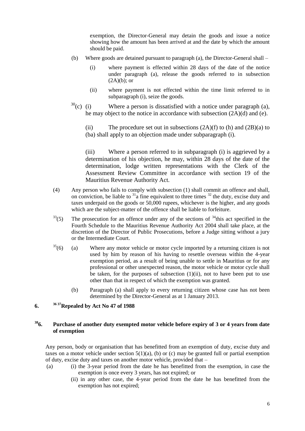exemption, the Director-General may detain the goods and issue a notice showing how the amount has been arrived at and the date by which the amount should be paid.

- (b) Where goods are detained pursuant to paragraph (a), the Director-General shall
	- (i) where payment is effected within 28 days of the date of the notice under paragraph (a), release the goods referred to in subsection  $(2A)(b)$ ; or
	- (ii) where payment is not effected within the time limit referred to in subparagraph (i), seize the goods.
- $30(c)$  (i) Where a person is dissatisfied with a notice under paragraph (a), he may object to the notice in accordance with subsection (2A)(d) and (e).

(ii) The procedure set out in subsections  $(2A)(f)$  to  $(h)$  and  $(2B)(a)$  to (ba) shall apply to an objection made under subparagraph (i).

(iii) Where a person referred to in subparagraph (i) is aggrieved by a determination of his objection, he may, within 28 days of the date of the determination, lodge written representations with the Clerk of the Assessment Review Committee in accordance with section 19 of the Mauritius Revenue Authority Act.

- (4) Any person who fails to comply with subsection (1) shall commit an offence and shall, on conviction, be liable to  $31a$  fine equivalent to three times  $32$  the duty, excise duty and taxes underpaid on the goods or  $50,000$  rupees, whichever is the higher, and any goods which are the subject-matter of the offence shall be liable to forfeiture.
- $33(5)$  The prosecution for an offence under any of the sections of  $34$ this act specified in the Fourth Schedule to the Mauritius Revenue Authority Act 2004 shall take place, at the discretion of the Director of Public Prosecutions, before a Judge sitting without a jury or the Intermediate Court.
- $35(6)$  (a) Where any motor vehicle or motor cycle imported by a returning citizen is not used by him by reason of his having to resettle overseas within the 4-year exemption period, as a result of being unable to settle in Mauritius or for any professional or other unexpected reason, the motor vehicle or motor cycle shall be taken, for the purposes of subsection  $(1)(ii)$ , not to have been put to use other than that in respect of which the exemption was granted.
	- (b) Paragraph (a) shall apply to every returning citizen whose case has not been determined by the Director-General as at 1 January 2013.

## <span id="page-5-0"></span>**6. <sup>36</sup> <sup>37</sup>Repealed by Act No 47 of 1988**

#### **<sup>38</sup>6. Purchase of another duty exempted motor vehicle before expiry of 3 or 4 years from date of exemption**

Any person, body or organisation that has benefitted from an exemption of duty, excise duty and taxes on a motor vehicle under section  $5(1)(a)$ , (b) or (c) may be granted full or partial exemption of duty, excise duty and taxes on another motor vehicle, provided that –

- (a) (i) the 3-year period from the date he has benefitted from the exemption, in case the exemption is once every 3 years, has not expired; or
	- (ii) in any other case, the 4-year period from the date he has benefitted from the exemption has not expired;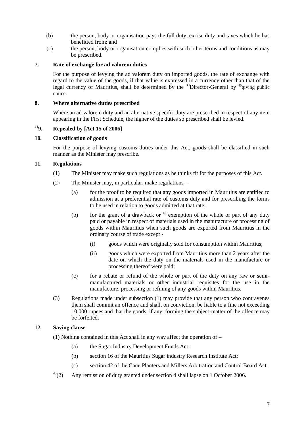- <span id="page-6-0"></span>(b) the person, body or organisation pays the full duty, excise duty and taxes which he has benefitted from; and
- (c) the person, body or organisation complies with such other terms and conditions as may be prescribed.

#### <span id="page-6-1"></span>**7. Rate of exchange for ad valorem duties**

For the purpose of levying the ad valorem duty on imported goods, the rate of exchange with regard to the value of the goods, if that value is expressed in a currency other than that of the legal currency of Mauritius, shall be determined by the  $\frac{39}{9}$ Director-General by  $\frac{40}{9}$ giving public notice.

#### <span id="page-6-3"></span><span id="page-6-2"></span>**8. Where alternative duties prescribed**

Where an ad valorem duty and an alternative specific duty are prescribed in respect of any item appearing in the First Schedule, the higher of the duties so prescribed shall be levied.

# **<sup>41</sup>9. Repealed by [Act 15 of 2006]**

#### <span id="page-6-4"></span>**10. Classification of goods**

For the purpose of levying customs duties under this Act, goods shall be classified in such manner as the Minister may prescribe.

#### **11. Regulations**

- (1) The Minister may make such regulations as he thinks fit for the purposes of this Act.
- (2) The Minister may, in particular, make regulations
	- (a) for the proof to be required that any goods imported in Mauritius are entitled to admission at a preferential rate of customs duty and for prescribing the forms to be used in relation to goods admitted at that rate;
	- (b) for the grant of a drawback or  $42$  exemption of the whole or part of any duty paid or payable in respect of materials used in the manufacture or processing of goods within Mauritius when such goods are exported from Mauritius in the ordinary course of trade except -
		- (i) goods which were originally sold for consumption within Mauritius;
		- (ii) goods which were exported from Mauritius more than 2 years after the date on which the duty on the materials used in the manufacture or processing thereof were paid;
	- (c) for a rebate or refund of the whole or part of the duty on any raw or semimanufactured materials or other industrial requisites for the use in the manufacture, processing or refining of any goods within Mauritius.
- <span id="page-6-5"></span>(3) Regulations made under subsection (1) may provide that any person who contravenes them shall commit an offence and shall, on conviction, be liable to a fine not exceeding 10,000 rupees and that the goods, if any, forming the subject-matter of the offence may be forfeited.

### **12. Saving clause**

- (1) Nothing contained in this Act shall in any way affect the operation of
	- (a) the Sugar Industry Development Funds Act;
	- (b) section 16 of the Mauritius Sugar industry Research Institute Act;
	- (c) section 42 of the Cane Planters and Millers Arbitration and Control Board Act.
- $^{43}(2)$  Any remission of duty granted under section 4 shall lapse on 1 October 2006.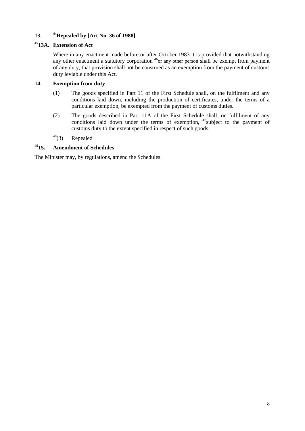## <span id="page-7-1"></span><span id="page-7-0"></span>**13. <sup>44</sup>Repealed by [Act No. 36 of 1988]**

## <span id="page-7-2"></span>**<sup>45</sup>13A. Extension of Act**

Where in any enactment made before or after October 1983 it is provided that notwithstanding any other enactment a statutory corporation  $46$  or any other person shall be exempt from payment of any duty, that provision shall not be construed as an exemption from the payment of customs duty leviable under this Act.

### **14. Exemption from duty**

- (1) The goods specified in Part 11 of the First Schedule shall, on the fulfilment and any conditions laid down, including the production of certificates, under the terms of a particular exemption, be exempted from the payment of customs duties.
- <span id="page-7-3"></span>(2) The goods described in Part 11A of the First Schedule shall, on fulfilment of any conditions laid down under the terms of exemption,  $47$  subject to the payment of customs duty to the extent specified in respect of such goods.
- $48$ (3) Repealed

## **<sup>49</sup>15. Amendment of Schedules**

The Minister may, by regulations, amend the Schedules.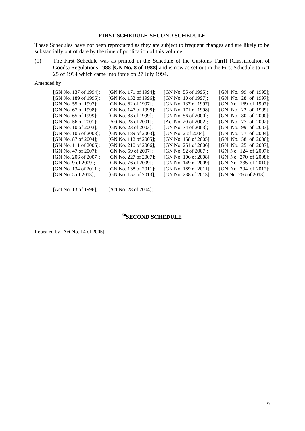#### **FIRST SCHEDULE-SECOND SCHEDULE**

<span id="page-8-0"></span>These Schedules have not been reproduced as they are subject to frequent changes and are likely to be substantially out of date by the time of publication of this volume.

(1) The First Schedule was as printed in the Schedule of the Customs Tariff (Classification of Goods) Regulations 1988 **[GN No. 8 of 1988]** and is now as set out in the First Schedule to Act 25 of 1994 which came into force on 27 July 1994.

Amended by

| [GN No. 137 of 1994]; | [GN No. 171 of 1994]; | [GN No. 55 of 1995];  | [GN No. 99 of 1995];  |
|-----------------------|-----------------------|-----------------------|-----------------------|
| [GN No. 189 of 1995]; | [GN No. 132 of 1996]; | [GN No. 10 of 1997];  | [GN No. 28 of 1997];  |
| [GN No. 55 of 1997];  | [GN No. 62 of 1997];  | [GN No. 137 of 1997]; | [GN No. 169 of 1997]; |
| [GN No. 67 of 1998];  | [GN No. 147 of 1998]; | [GN No. 171 of 1998]; | [GN No. 22 of 1999];  |
| [GN No. 65 of 1999];  | [GN No. 83 of 1999];  | [GN No. 56 of 2000];  | [GN No. 80 of 2000];  |
| [GN No. 56 of 2001];  | [Act No. 23 of 2001]; | [Act No. 20 of 2002]; | [GN No. 77 of 2002];  |
| [GN No. 10 of 2003];  | [GN No. 23 of 2003];  | [GN No. 74 of 2003];  | [GN No. 99 of 2003];  |
| [GN No. 105 of 2003]; | [GN No. 189 of 2003]; | [GN No. 2 of 2004];   | [GN No. 77 of 2004];  |
| [GN No. 87 of 2004];  | [GN No. 112 of 2005]; | [GN No. 158 of 2005]; | [GN No. 58 of 2006];  |
| [GN No. 111 of 2006]; | [GN No. 210 of 2006]; | [GN No. 251 of 2006]; | [GN No. 25 of 2007];  |
| [GN No. 47 of 2007];  | [GN No. 59 of 2007];  | [GN No. 92 of 2007];  | [GN No. 124 of 2007]; |
| [GN No. 206 of 2007]; | [GN No. 227 of 2007]; | [GN No. 106 of 2008]  | [GN No. 270 of 2008]; |
| [GN No. 9 of 2009];   | [GN No. 76 of 2009];  | [GN No. 149 of 2009]; | [GN No. 235 of 2010]; |
| [GN No. 134 of 2011]; | [GN No. 138 of 2011]; | [GN No. 189 of 2011]; | [GN No. 204 of 2012]; |
| [GN No. 5 of 2013];   | [GN No. 157 of 2013]; | [GN No. 238 of 2013]; | [GN No. 266 of 2013]  |
|                       |                       |                       |                       |

<span id="page-8-1"></span>[Act No. 13 of 1996]; [Act No. 28 of 2004];

## **<sup>50</sup>SECOND SCHEDULE**

Repealed by [Act No. 14 of 2005]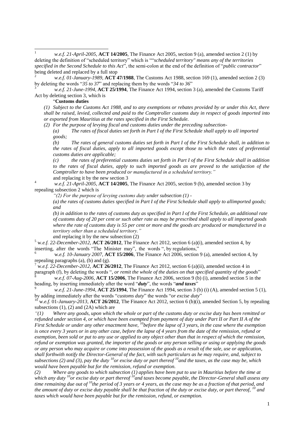$\overline{1}$ <sup>1</sup> *w.e.f. 21-April-2005*, **ACT 14/2005**, The Finance Act 2005, section 9 (a), amended section 2 (1) by deleting the definition of "scheduled territory" which is ""*scheduled territory" means any of the territories specified in the Second Schedule to this Act*", the semi-colon at the end of the definition of "*public contractor*" being deleted and replaced by a full stop

<sup>2</sup> *w.e.f. 01-January-1989*, **ACT 47/1988**, The Customs Act 1988, section 169 (1), amended section 2 (3) by deleting the words "*35 to 37*" and replacing them by the words "*34 to 36*"

<sup>3</sup> *w.e.f. 21-June-1994*, **ACT 25/1994**, The Finance Act 1994, section 3 (a), amended the Customs Tariff Act by deleting section 3, which is

#### "**Customs duties**

*(1) Subject to the Customs Act 1988, and to any exemptions or rebates provided by or under this Act, there shall be raised, levied, collected and paid to the Comptroller customs duty in respect of goods imported into or exported from Mauritius at the rates specified in the First Schedule.*

*(2) For the purpose of levying fiscal and customs duties under the preceding subsection-*

*(a) The rates of fiscal duties set forth in Part I of the First Schedule shall apply to all imported goods;* 

*(b) The rates of general customs duties set forth in Part I of the First Schedule shall, in addition to the rates of fiscal duties, apply to all imported goods except those to which the rates of preferential customs duties are applicable;* 

*(c) the rates of preferential customs duties set forth in Part I of the First Schedule shall in addition to the rates of fiscal duties, apply to such imported goods as are proved to the satisfaction of the Comptroller to have been produced or manufactured in a scheduled territory."* and replacing it by the new section 3

<sup>4</sup> *w.e.f. 21-April-2005*, **ACT 14/2005**, The Finance Act 2005, section 9 (b), amended section 3 by repealing subsection 2 which is

*"(2) For the purpose of levying customs duty under subsection (1) -*

*(a) the rates of customs duties specified in Part I of the First Schedule shall apply to allimported goods; and*

*(b) in addition to the rates of customs duty as specified in Part I of the First Schedule, an additional rate of customs duty of 20 per cent or such other rate as may be prescribed shall apply to all imported goods where the rate of customs duty is 55 per cent or more and the goods arc produced or manufactured in a territory other than a scheduled territory."*

*a*nd replacing it by the new subsection (2)

<sup>5</sup> w.*e.f. 22-December-2012,* **ACT 26/2012**, The Finance Act 2012, section 6 (a)(i), amended section 4, by inserting, after the words "The Minister may", the words ", by regulations,"

<sup>6</sup> w.*e.f. 10-January 2007,* **ACT 15/2006**, The Finance Act 2006, section 9 (a), amended section 4, by repealing paragraphs (a), (b) and (g).

<sup>7</sup> w.e.f. 22-December-2012, **ACT 26/2012**, The Finance Act 2012, section 6 (a)(ii), amended section 4 in

paragraph (f), by deleting the words "*, or remit the whole of the duties on that specified quantity of the goods*" <sup>8</sup> *w.e.f. 07-Aug-2006*, **ACT 15/2006**, The Finance Act 2006, section 9 (b) (i), amended section 5 in the heading, by inserting immediately after the word "*duty*", the words "*and taxes*"

<sup>9</sup> *w.e.f. 21-June-1994,* **ACT 25/1994**, The Finance Act 1994, section 3 (b) (i) (A), amended section 5 (1), by adding immediately after the words "*customs duty*" the words "*or excise duty*"

<sup>10</sup> w.e.f. 01-January-2013, **ACT 26/2012**, The Finance Act 2012, section 6 (b)(i), amended Section 5, by repealing subsections  $(1)$ ,  $(2)$  and  $(2A)$  which are

*"(1) Where any goods, upon which the whole or part of the customs duty or excise duty has been remitted or refunded under section 4, or which have been exempted from payment of duty under Part II or Part II A of the First Schedule or under any other enactment have, <sup>10</sup>before the lapse of 3 years, in the case where the exemption*  is once every 3 years or in any other case, before the lapse of 4 years from the date of the remission, refund or *exemption, been sold or put to any use or applied to any object other than that in respect of which the remission, refund or exemption was granted, the importer of the goods or any person selling or using or applying the goods or any person who may acquire or come into possession of the goods as a result of the sale, use or application, shall forthwith notify the Director-General of the fact, with such particulars as he may require, and, subject to subsections (2) and (3), pay the duty <sup>10</sup>or excise duty or part thereof <sup>10</sup>and the taxes, as the case may be, which would have been payable but for the remission, refund or exemption.*

*(2) Where any goods to which subsection (1) applies have been put to use in Mauritius before the time at which any duty <sup>10</sup>or excise duty or part thereof <sup>10</sup>and taxes become payable, the Director-General shall assess any time remaining due out of <sup>10</sup>the period of 3 years or 4 years, as the case may be as a fraction of that period, and the amount of duty or excise duty payable shall be that fraction of the duty or excise duty, or part thereof, <sup>10</sup> and taxes which would have been payable but for the remission, refund, or exemption.*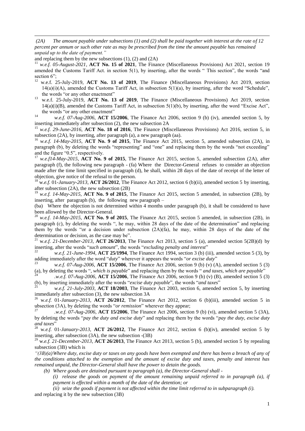*(2A) The amount payable under subsections (1) and (2) shall be paid together with interest at the rate of 12 percent per annum or such other rate as may be prescribed from the time the amount payable has remained unpaid up to the date of payment."*

and replacing them by the new subsections (1), (2) and (2A)

 $\overline{a}$ 

<sup>11</sup> *w.e.f. 05-August-2021*, **ACT No. 15 of 2021**, The Finance (Miscellaneous Provisions) Act 2021, section 19 amended the Customs Tariff Act. in section 5(1), by inserting, after the words " This section", the words "and section 6":

- <sup>12</sup> w.e.f. 25-July-2019, **ACT No. 13 of 2019**, The Finance (Miscellaneous Provisions) Act 2019, section  $14(a)(i)(A)$ , amended the Customs Tariff Act, in subsection  $5(1)(a)$ , by inserting, after the word "Schedule", the words "or any other enactment"
- <sup>13</sup> w.e.f. 25-July-2019, **ACT No. 13 of 2019**, The Finance (Miscellaneous Provisions) Act 2019, section 14(a)(i)(B), amended the Customs Tariff Act, in subsection 5(1)(b), by inserting, after the word "Excise Act", the words "or any other enactment"
- <sup>14</sup> *w.e.f. 07-Aug-2006*, **ACT 15/2006**, The Finance Act 2006, section 9 (b) (iv), amended section 5, by inserting immediately after subsection (2), the new subsection 2A

<sup>15</sup> *w.e.f. 29-June-2016*, **ACT No. 18 of 2016**, The Finance (Miscellaneous Provisions) Act 2016, section 5, in subsection (2A), by inserting, after paragraph (a), a new paragraph (aa).

<sup>16</sup> *w.e.f. 14-May-2015*, **ACT No. 9 of 2015**, The Finance Act 2015, section 5, amended subsection (2A), in paragraph (b), by deleting the words "representing" and "one" and replacing them by the words "not exceeding" and the figure "0.5", respectively.

<sup>17</sup> *w.e.f14-May-2015*, **ACT No. 9 of 2015**, The Finance Act 2015, section 5, amended subsection (2A), after paragraph (f), the following new paragraph - (fa) Where the Director-General refuses to consider an objection made after the time limit specified in paragraph (d), he shall, within 28 days of the date of receipt of the letter of objection, give notice of the refusal to the person.

<sup>18</sup> w.*e.f.* 01*-January-2013,* **ACT 26/2012**, The Finance Act 2012, section 6 (b)(ii), amended section 5 by inserting, after subsection (2A), the new subsection (2B)<br><sup>19</sup> *w.e.f. 14-May-2015*, **ACT No. 9 of 2015**, The Finance Act 2015, section 5 amended, in subsection (2B), by

inserting, after paragraph (b), the following new paragraph –

(ba) Where the objection is not determined within 4 months under paragraph (b), it shall be considered to have been allowed by the Director-General.

<sup>20</sup> *w.e.f*. *14-May-2015*, **ACT No. 9 of 2015**, The Finance Act 2015, section 5 amended, in subsection (2B), in paragraph (c), by deleting the words ", he may, within 28 days of the date of the determination" and replacing them by the words "or a decision under subsection  $(2A)(fa)$ , he may, within 28 days of the date of the determination or decision, as the case may be".

<sup>21</sup> w.*e.f. 21-December-2013,* **ACT 26/2013**, The Finance Act 2013, section 5 (a), amended section 5(2B)(d) by inserting, after the words "*such amount*", the words "*excluding penalty and interest*"

<sup>22</sup> *w.e.f. 21-June-1994,* **ACT 25/1994**, The Finance Act 1994, section 3 (b) (iii), amended section 5 (3), by adding immediately after the word "*duty*" wherever it appears the words "*or excise duty*"

<sup>23</sup> *w.e.f. 07-Aug-2006*, **ACT 15/2006**, The Finance Act 2006, section 9 (b) (v) (A), amended section 5 (3) (a), by deleting the words "*, which is payable*" and replacing them by the words " *and taxes, which are payable*"

<sup>24</sup> *.w.e.f. 07-Aug-2006*, **ACT 15/2006**, The Finance Act 2006, section 9 (b) (v) (B), amended section 5 (3) (b), by inserting immediately after the words "*excise duty payable*", the words "*and taxes*"

<sup>25</sup> *w.e.f. 21-July-2003*, **ACT 18/2003**, The Finance Act 2003, section 6, amended section 5, by inserting immediately after subsection (3), the new subsection 3A

<sup>26</sup> w.*e.f.* 01*-January-2013,* **ACT 26/2012**, The Finance Act 2012, section 6 (b)(iii), amended section 5 in ubsection (3A), by deleting the words "*or remission*" wherever they appear;

<sup>27</sup> *.w.e.f. 07-Aug-2006*, **ACT 15/2006**, The Finance Act 2006, section 9 (b) (vi), amended section 5 (3A), by deleting the words "*pay the duty and excise duty*" and replacing them by the words "*pay the duty, excise duty and taxes*"

<sup>28</sup> w.*e.f.* 01*-January-2013*, **ACT 26/2012**, The Finance Act 2012, section 6 (b)(iv), amended section 5 by inserting, after subsection (3A), the new subsection -(3B)

<sup>29</sup> w.*e.f. 21-December-2013,* **ACT 26/2013**, The Finance Act 2013, section 5 (b), amended section 5 by repealing subsection (3B) which is

*"(3B)(a)Where duty, excise duty or taxes on any goods have been exempted and there has been a breach of any of the conditions attached to the exemption and the amount of excise duty and taxes, penalty and interest has remained unpaid, the Director-General shall have the power to detain the goods.* 

*(b) Where goods are detained pursuant to paragraph (a), the Director-General shall -*

*(i) release the goods on payment of the amount remaining unpaid referred to in paragraph (a), if payment is effected within a month of the date of the detention; or* 

*(ii) seize the goods if payment is not affected within the time limit referred to in subparagraph (i).* and replacing it by the new subsection (3B)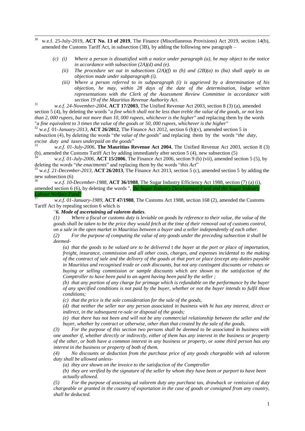- $30^{\circ}$ <sup>30</sup> w.e.f. 25-July-2019, **ACT No. 13 of 2019**, The Finance (Miscellaneous Provisions) Act 2019, section 14(b), amended the Customs Tariff Act, in subsection (3B), by adding the following new paragraph –
	- *(c) (i) Where a person is dissatisfied with a notice under paragraph (a), he may object to the notice in accordance with subsection (2A)(d) and (e).*
		- *(ii) The procedure set out in subsections (2A)(f) to (h) and (2B)(a) to (ba) shall apply to an objection made under subparagraph (i).*
		- *(iii) Where a person referred to in subparagraph (i) is aggrieved by a determination of his objection, he may, within 28 days of the date of the determination, lodge written representations with the Clerk of the Assessment Review Committee in accordance with section 19 of the Mauritius Revenue Authority Act.*

<sup>31</sup> *w.e.f. 24-November-2004*, **ACT 17/2003**, The Unified Revenue Act 2003, section 8 (3) (a), amended section 5 (4), by deleting the words "*a fine which shall not be less than treble the value of the goods, or not less* 

*than 2, 000 rupees, but not more than 10, 000 rupees, whichever is the higher*" and replacing them by the words "*a fine equivalent to 3 times the value of the goods or 50, 000 rupees, whichever is the higher*"

 $32$  w.e.f. 01-January-2013, **ACT 26/2012**, The Finance Act 2012, section 6 (b)(v), amended section 5 in subsection (4), by deleting the words "*the value of the goods*" and replacing them by the words "*the duty, excise duty and taxes underpaid on the goods*"<br>33

<sup>33</sup> *w.e.f. 01-July-2006*, **The Mauritius Revenue Act 2004**, The Unified Revenue Act 2003, section 8 (3) (b), amended the Customs Tariff Act by adding immediately after section 5 (4), new subsection (5)

<sup>34</sup> *w.e.f. 01-July-2006*, **ACT 15/2006**, The Finance Act 2006, section 9 (b) (vii), amended section 5 (5), by deleting the words "*the enactments*" and replacing them by the words "*this Act*"

<sup>35</sup> w.*e.f. 21-December-2013,* **ACT 26/2013**, The Finance Act 2013, section 5 (c), amended section 5 by adding the new subsection (6)

w.e.f. 10-December-1988, **ACT 36/1988**, The Sugar Industry Efficiency Act 1988, section (7) (a) (i), amended section 6 (6), by deleting the words ", *the Sugar Industry Development Fund and the Sugar Industry Labour Welfare Fund*"

<sup>37</sup> *w.e.f. 01-January-1989*, **ACT 47/1988**, The Customs Act 1988, section 168 (2), amended the Customs Tariff Act by repealing section 6 which is

*"6. Mode of ascertaining ad valorem duties.*

*(1) Where a fiscal or customs duty is leviable on goods by reference to their value, the value of the goods shall be taken to be the price they would fetch at the time of their removal out of customs control, on a sale in the open market in Mauritius between a buyer and a seller independently of each other.* 

*(2) For the purpose of computing the value of any goods under the preceding subsection it shall be deemed-*

*(a) that the goods to be valued are to be delivered t the buyer at the port or place of importation, freight, insurance, commission and all other costs, charges, and expenses incidental to the making of the contract of sale and the delivery of the goads at that port or place (except any duties payable in Mauritius and recognised trade or cash discounts, but not any contingent discounts or rebates or buying or selling commission or sample discounts which are shown to the satisfaction of the Comptroller to have been paid to an agent having been paid by the seller ;* 

*(b) that any portion of any charge for primage which is refundable on the performance by the buyer of any specified conditions is not paid by the buyer, whether or not the buyer intends to fulfil those conditions;*

*(c) that the price is the sole consideration for the sale of the goods,* 

*(d) that neither the seller nor any person associated in business with hi has any interest, direct or indirect, in the subsequent re-sale or disposal of the goods;* 

*(e) that there has not been and will not be any commercial relationship between the seller and the buyer, whether by contract or otherwise, other than that created by the sale of the goods.* 

*(3) For the purpose of this section two persons shall be deemed to be associated in business with one another if, whether directly or indirectly, either of them has any interest in the business or property of the other, or both have a common interest in any business or property, or some third person has any interest in the business or property of both of them.* 

*(4) No discounts or deduction from the purchase price of any goods chargeable with ad valorem duty shall be allowed unless-*

*(a) they are shown on the invoice to the satisfaction of the Comptroller* 

*(b) they are verified by the signature of the seller by whom they have been or purport to have been actually allowed.* 

*(5) For the purpose of assessing ad valorem duty any purchase tax, drawback or remission of duty chargeable or granted in the country of exportation in the case of goods or consigned from any country, shall be deducted.*